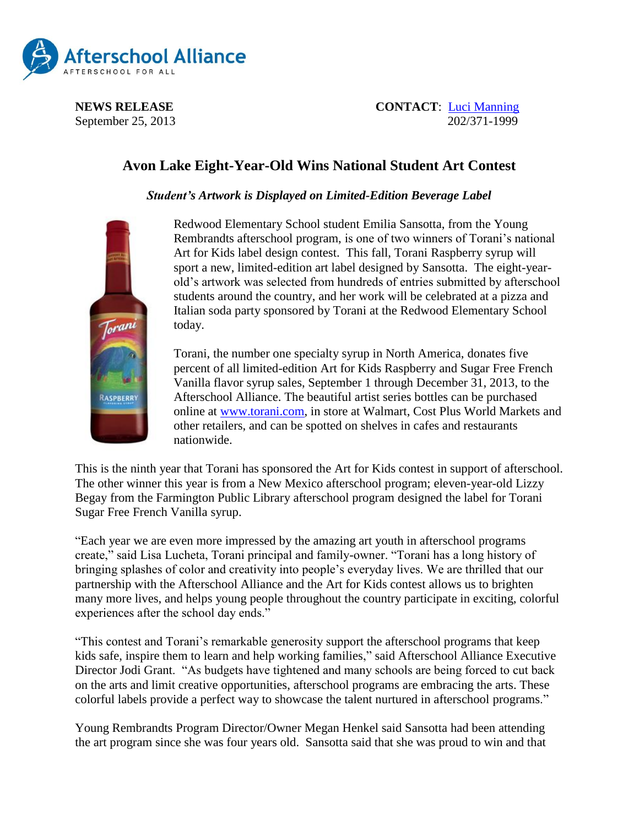

**NEWS RELEASE CONTACT:** [Luci Manning](mailto:luci@prsolutionsdc.com) September 25, 2013 202/371-1999

## **Avon Lake Eight-Year-Old Wins National Student Art Contest**

*Student's Artwork is Displayed on Limited-Edition Beverage Label*



Redwood Elementary School student Emilia Sansotta, from the Young Rembrandts afterschool program, is one of two winners of Torani's national Art for Kids label design contest. This fall, Torani Raspberry syrup will sport a new, limited-edition art label designed by Sansotta. The eight-yearold's artwork was selected from hundreds of entries submitted by afterschool students around the country, and her work will be celebrated at a pizza and Italian soda party sponsored by Torani at the Redwood Elementary School today.

Torani, the number one specialty syrup in North America, donates five percent of all limited-edition Art for Kids Raspberry and Sugar Free French Vanilla flavor syrup sales, September 1 through December 31, 2013, to the Afterschool Alliance. The beautiful artist series bottles can be purchased online at [www.torani.com,](http://www.torani.com/) in store at Walmart, Cost Plus World Markets and other retailers, and can be spotted on shelves in cafes and restaurants nationwide.

This is the ninth year that Torani has sponsored the Art for Kids contest in support of afterschool. The other winner this year is from a New Mexico afterschool program; eleven-year-old Lizzy Begay from the Farmington Public Library afterschool program designed the label for Torani Sugar Free French Vanilla syrup.

"Each year we are even more impressed by the amazing art youth in afterschool programs create," said Lisa Lucheta, Torani principal and family-owner. "Torani has a long history of bringing splashes of color and creativity into people's everyday lives. We are thrilled that our partnership with the Afterschool Alliance and the Art for Kids contest allows us to brighten many more lives, and helps young people throughout the country participate in exciting, colorful experiences after the school day ends."

"This contest and Torani's remarkable generosity support the afterschool programs that keep kids safe, inspire them to learn and help working families," said Afterschool Alliance Executive Director Jodi Grant. "As budgets have tightened and many schools are being forced to cut back on the arts and limit creative opportunities, afterschool programs are embracing the arts. These colorful labels provide a perfect way to showcase the talent nurtured in afterschool programs."

Young Rembrandts Program Director/Owner Megan Henkel said Sansotta had been attending the art program since she was four years old. Sansotta said that she was proud to win and that